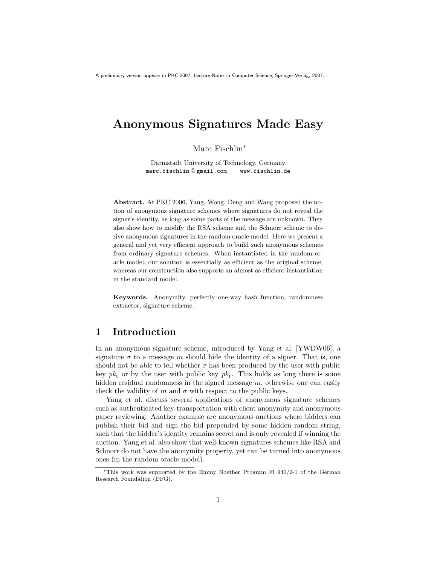A preliminary version appears in PKC 2007, Lecture Notes in Computer Science, Springer-Verlag, 2007.

# Anonymous Signatures Made Easy

Marc Fischlin<sup>∗</sup>

Darmstadt University of Technology, Germany marc.fischlin @ gmail.com www.fischlin.de

Abstract. At PKC 2006, Yang, Wong, Deng and Wang proposed the notion of anonymous signature schemes where signatures do not reveal the signer's identity, as long as some parts of the message are unknown. They also show how to modify the RSA scheme and the Schnorr scheme to derive anonymous signatures in the random oracle model. Here we present a general and yet very efficient approach to build such anonymous schemes from ordinary signature schemes. When instantiated in the random oracle model, our solution is essentially as efficient as the original scheme, whereas our construction also supports an almost as efficient instantiation in the standard model.

Keywords. Anonymity, perfectly one-way hash function, randomness extractor, signature scheme.

## 1 Introduction

In an anonymous signature scheme, introduced by Yang et al. [YWDW06], a signature  $\sigma$  to a message m should hide the identity of a signer. That is, one should not be able to tell whether  $\sigma$  has been produced by the user with public key  $pk_0$  or by the user with public key  $pk_1$ . This holds as long there is some hidden residual randomness in the signed message m, otherwise one can easily check the validity of m and  $\sigma$  with respect to the public keys.

Yang et al. discuss several applications of anonymous signature schemes such as authenticated key-transportation with client anonymity and anonymous paper reviewing. Another example are anonymous auctions where bidders can publish their bid and sign the bid prepended by some hidden random string, such that the bidder's identity remains secret and is only revealed if winning the auction. Yang et al. also show that well-known signatures schemes like RSA and Schnorr do not have the anonymity property, yet can be turned into anonymous ones (in the random oracle model).

<sup>∗</sup>This work was supported by the Emmy Noether Program Fi 940/2-1 of the German Research Foundation (DFG).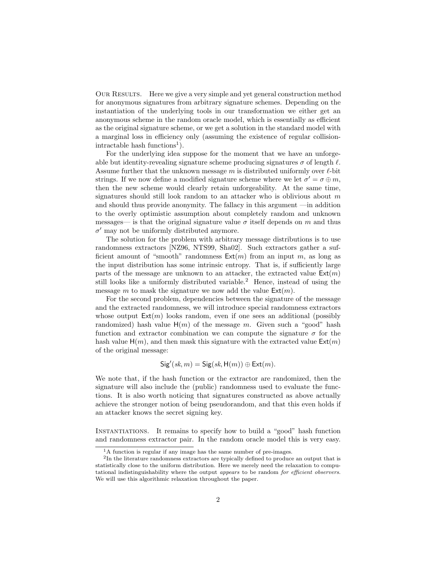Our Results. Here we give a very simple and yet general construction method for anonymous signatures from arbitrary signature schemes. Depending on the instantiation of the underlying tools in our transformation we either get an anonymous scheme in the random oracle model, which is essentially as efficient as the original signature scheme, or we get a solution in the standard model with a marginal loss in efficiency only (assuming the existence of regular collision $intractable hash functions<sup>1</sup>$ ).

For the underlying idea suppose for the moment that we have an unforgeable but identity-revealing signature scheme producing signatures  $\sigma$  of length  $\ell$ . Assume further that the unknown message m is distributed uniformly over  $\ell$ -bit strings. If we now define a modified signature scheme where we let  $\sigma' = \sigma \oplus m$ , then the new scheme would clearly retain unforgeability. At the same time, signatures should still look random to an attacker who is oblivious about  $m$ and should thus provide anonymity. The fallacy in this argument —in addition to the overly optimistic assumption about completely random and unknown messages— is that the original signature value  $\sigma$  itself depends on m and thus  $\sigma'$  may not be uniformly distributed anymore.

The solution for the problem with arbitrary message distributions is to use randomness extractors [NZ96, NTS99, Sha02]. Such extractors gather a sufficient amount of "smooth" randomness  $Ext(m)$  from an input m, as long as the input distribution has some intrinsic entropy. That is, if sufficiently large parts of the message are unknown to an attacker, the extracted value  $Ext(m)$ still looks like a uniformly distributed variable.<sup>2</sup> Hence, instead of using the message m to mask the signature we now add the value  $Ext(m)$ .

For the second problem, dependencies between the signature of the message and the extracted randomness, we will introduce special randomness extractors whose output  $Ext(m)$  looks random, even if one sees an additional (possibly randomized) hash value  $H(m)$  of the message m. Given such a "good" hash function and extractor combination we can compute the signature  $\sigma$  for the hash value  $H(m)$ , and then mask this signature with the extracted value  $Ext(m)$ of the original message:

$$
Sig'(sk, m) = Sig(sk, H(m)) \oplus Ext(m).
$$

We note that, if the hash function or the extractor are randomized, then the signature will also include the (public) randomness used to evaluate the functions. It is also worth noticing that signatures constructed as above actually achieve the stronger notion of being pseudorandom, and that this even holds if an attacker knows the secret signing key.

Instantiations. It remains to specify how to build a "good" hash function and randomness extractor pair. In the random oracle model this is very easy.

 $1<sup>1</sup>A$  function is regular if any image has the same number of pre-images.

<sup>&</sup>lt;sup>2</sup>In the literature randomness extractors are typically defined to produce an output that is statistically close to the uniform distribution. Here we merely need the relaxation to computational indistinguishability where the output appears to be random for efficient observers. We will use this algorithmic relaxation throughout the paper.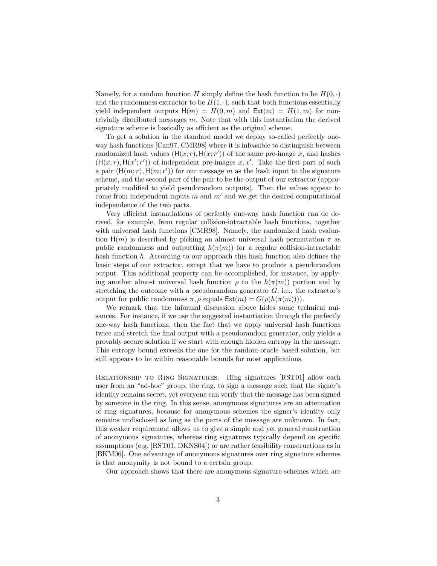Namely, for a random function H simply define the hash function to be  $H(0, \cdot)$ and the randomness extractor to be  $H(1, \cdot)$ , such that both functions essentially yield independent outputs  $H(m) = H(0, m)$  and  $Ext(m) = H(1, m)$  for nontrivially distributed messages  $m$ . Note that with this instantiation the derived signature scheme is basically as efficient as the original scheme.

To get a solution in the standard model we deploy so-called perfectly oneway hash functions [Can97, CMR98] where it is infeasible to distinguish between randomized hash values  $(H(x; r), H(x; r'))$  of the same pre-image x, and hashes  $(H(x; r), H(x'; r'))$  of independent pre-images x, x'. Take the first part of such a pair  $(H(m, r), H(m, r'))$  for our message m as the hash input to the signature scheme, and the second part of the pair to be the output of our extractor (appropriately modified to yield pseudorandom outputs). Then the values appear to come from independent inputs  $m$  and  $m'$  and we get the desired computational independence of the two parts.

Very efficient instantiations of perfectly one-way hash function can de derived, for example, from regular collision-intractable hash functions, together with universal hash functions [CMR98]. Namely, the randomized hash evaluation  $H(m)$  is described by picking an almost universal hash permutation  $\pi$  as public randomness and outputting  $h(\pi(m))$  for a regular collision-intractable hash function h. According to our approach this hash function also defines the basic steps of our extractor, except that we have to produce a pseudorandom output. This additional property can be accomplished, for instance, by applying another almost universal hash function  $\rho$  to the  $h(\pi(m))$  portion and by stretching the outcome with a pseudorandom generator  $G$ , i.e., the extractor's output for public randomness π, ρ equals  $\text{Ext}(m) = G(\rho(h(\pi(m))))$ .

We remark that the informal discussion above hides some technical nuisances. For instance, if we use the suggested instantiation through the perfectly one-way hash functions, then the fact that we apply universal hash functions twice and stretch the final output with a pseudorandom generator, only yields a provably secure solution if we start with enough hidden entropy in the message. This entropy bound exceeds the one for the random-oracle based solution, but still appears to be within reasonable bounds for most applications.

Relationship to Ring Signatures. Ring signatures [RST01] allow each user from an "ad-hoc" group, the ring, to sign a message such that the signer's identity remains secret, yet everyone can verify that the message has been signed by someone in the ring. In this sense, anonymous signatures are an attenuation of ring signatures, because for anonymous schemes the signer's identity only remains undisclosed as long as the parts of the message are unknown. In fact, this weaker requirement allows us to give a simple and yet general construction of anonymous signatures, whereas ring signatures typically depend on specific assumptions (e.g. [RST01, DKNS04]) or are rather feasibility constructions as in [BKM06]. One advantage of anonymous signatures over ring signature schemes is that anonymity is not bound to a certain group.

Our approach shows that there are anonymous signature schemes which are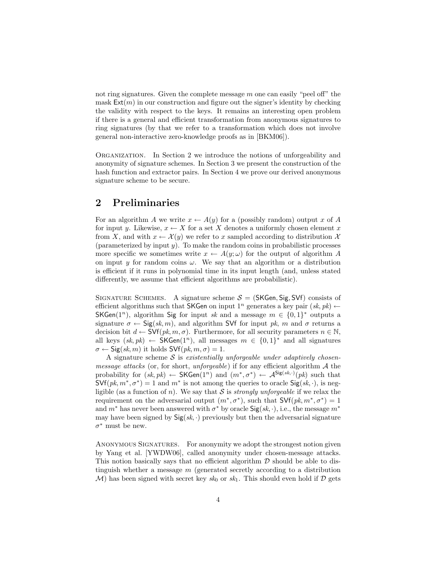not ring signatures. Given the complete message  $m$  one can easily "peel off" the mask  $Ext(m)$  in our construction and figure out the signer's identity by checking the validity with respect to the keys. It remains an interesting open problem if there is a general and efficient transformation from anonymous signatures to ring signatures (by that we refer to a transformation which does not involve general non-interactive zero-knowledge proofs as in [BKM06]).

Organization. In Section 2 we introduce the notions of unforgeability and anonymity of signature schemes. In Section 3 we present the construction of the hash function and extractor pairs. In Section 4 we prove our derived anonymous signature scheme to be secure.

### 2 Preliminaries

For an algorithm A we write  $x \leftarrow A(y)$  for a (possibly random) output x of A for input y. Likewise,  $x \leftarrow X$  for a set X denotes a uniformly chosen element x from X, and with  $x \leftarrow \mathcal{X}(y)$  we refer to x sampled according to distribution X (parameterized by input  $y$ ). To make the random coins in probabilistic processes more specific we sometimes write  $x \leftarrow A(y; \omega)$  for the output of algorithm A on input  $y$  for random coins  $\omega$ . We say that an algorithm or a distribution is efficient if it runs in polynomial time in its input length (and, unless stated differently, we assume that efficient algorithms are probabilistic).

SIGNATURE SCHEMES. A signature scheme  $S = (SKGen, Sig, SVf)$  consists of efficient algorithms such that SKGen on input  $1^n$  generates a key pair  $(sk, pk) \leftarrow$ SKGen(1<sup>n</sup>), algorithm Sig for input sk and a message  $m \in \{0,1\}^*$  outputs a signature  $\sigma \leftarrow \text{Sig}(sk, m)$ , and algorithm SVf for input pk, m and  $\sigma$  returns a decision bit  $d \leftarrow \mathsf{SVf}(pk, m, \sigma)$ . Furthermore, for all security parameters  $n \in \mathbb{N}$ , all keys  $(sk, pk) \leftarrow \mathsf{SKGen}(1^n)$ , all messages  $m \in \{0, 1\}^*$  and all signatures  $\sigma \leftarrow$  Sig(sk, m) it holds SVf(pk, m,  $\sigma$ ) = 1.

A signature scheme  $S$  is existentially unforgeable under adaptively chosen*message attacks* (or, for short, *unforgeable*) if for any efficient algorithm  $A$  the probability for  $(sk, pk) \leftarrow \mathsf{SKGen}(1^n)$  and  $(m^*, \sigma^*) \leftarrow \mathcal{A}^{\mathsf{Sig}(sk, \cdot)}(pk)$  such that  $\mathsf{SVf}(pk, m^*, \sigma^*) = 1$  and  $m^*$  is not among the queries to oracle  $\mathsf{Sig}(sk, \cdot)$ , is negligible (as a function of n). We say that S is *strongly unforgeable* if we relax the requirement on the adversarial output  $(m^*, \sigma^*)$ , such that  $SVf(pk, m^*, \sigma^*) = 1$ and  $m^*$  has never been answered with  $\sigma^*$  by oracle  $\textsf{Sig}(sk, \cdot)$ , i.e., the message  $m^*$ may have been signed by  $\mathsf{Sig}(sk, \cdot)$  previously but then the adversarial signature  $\sigma^*$  must be new.

ANONYMOUS SIGNATURES. For anonymity we adopt the strongest notion given by Yang et al. [YWDW06], called anonymity under chosen-message attacks. This notion basically says that no efficient algorithm  $\mathcal D$  should be able to distinguish whether a message m (generated secretly according to a distribution  $\mathcal{M}$ ) has been signed with secret key sk<sub>0</sub> or sk<sub>1</sub>. This should even hold if D gets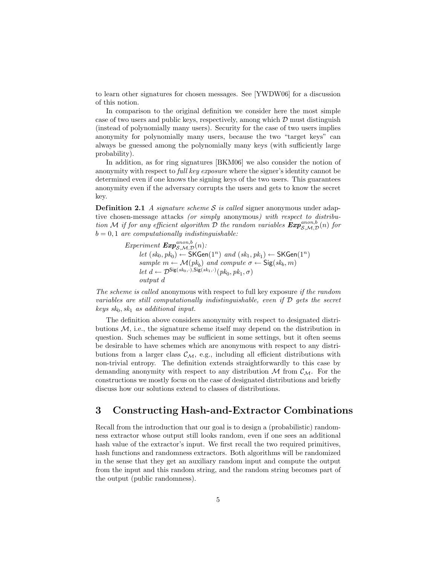to learn other signatures for chosen messages. See [YWDW06] for a discussion of this notion.

In comparison to the original definition we consider here the most simple case of two users and public keys, respectively, among which  $D$  must distinguish (instead of polynomially many users). Security for the case of two users implies anonymity for polynomially many users, because the two "target keys" can always be guessed among the polynomially many keys (with sufficiently large probability).

In addition, as for ring signatures [BKM06] we also consider the notion of anonymity with respect to full key exposure where the signer's identity cannot be determined even if one knows the signing keys of the two users. This guarantees anonymity even if the adversary corrupts the users and gets to know the secret key.

**Definition 2.1** A signature scheme S is called signer anonymous under adaptive chosen-message attacks (or simply anonymous) with respect to distribution M if for any efficient algorithm  $\overline{\mathcal{D}}$  the random variables  $\overline{\textbf{Exp}}_{\mathcal{S},\mathcal{M},\mathcal{D}}^{anon,b}(n)$  for  $b = 0, 1$  are computationally indistinguishable:

> Experiment  $\pmb{Exp}_{\mathcal{S},\mathcal{M},\mathcal{D}}^{anon,b}(n)$ :  $let (sk_0, pk_0) \leftarrow \mathsf{SKGen}(1^n) \text{ and } (sk_1, pk_1) \leftarrow \mathsf{SKGen}(1^n)$ sample  $m \leftarrow \mathcal{M}(pk_b)$  and compute  $\sigma \leftarrow \text{Sig}(sk_b, m)$ let  $d \leftarrow \mathcal{D}^{\mathsf{Sig}(sk_0,\cdot),\mathsf{Sig}(sk_1,\cdot)}(pk_0, pk_1, \sigma)$ output d

The scheme is called anonymous with respect to full key exposure if the random variables are still computationally indistinguishable, even if D gets the secret keys  $sk_0, sk_1$  as additional input.

The definition above considers anonymity with respect to designated distributions  $M$ , i.e., the signature scheme itself may depend on the distribution in question. Such schemes may be sufficient in some settings, but it often seems be desirable to have schemes which are anonymous with respect to any distributions from a larger class  $\mathcal{C}_{\mathcal{M}}$ , e.g., including all efficient distributions with non-trivial entropy. The definition extends straightforwardly to this case by demanding anonymity with respect to any distribution  $\mathcal M$  from  $\mathcal C_{\mathcal M}$ . For the constructions we mostly focus on the case of designated distributions and briefly discuss how our solutions extend to classes of distributions.

## 3 Constructing Hash-and-Extractor Combinations

Recall from the introduction that our goal is to design a (probabilistic) randomness extractor whose output still looks random, even if one sees an additional hash value of the extractor's input. We first recall the two required primitives, hash functions and randomness extractors. Both algorithms will be randomized in the sense that they get an auxiliary random input and compute the output from the input and this random string, and the random string becomes part of the output (public randomness).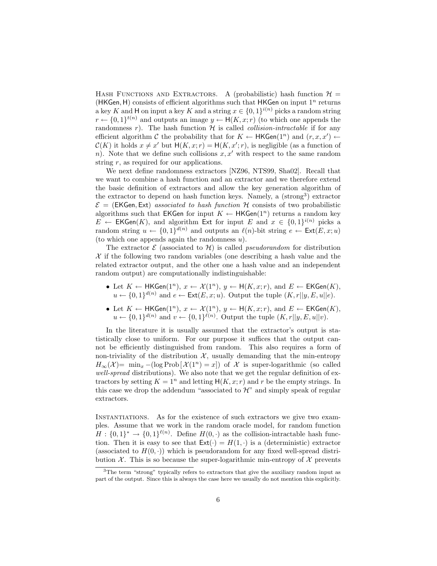HASH FUNCTIONS AND EXTRACTORS. A (probabilistic) hash function  $\mathcal{H} =$ (HKGen, H) consists of efficient algorithms such that HKGen on input  $1^n$  returns a key K and H on input a key K and a string  $x \in \{0,1\}^{i(n)}$  picks a random string  $r \leftarrow \{0,1\}^{t(n)}$  and outputs an image  $y \leftarrow \mathsf{H}(K, x; r)$  (to which one appends the randomness r). The hash function  $H$  is called *collision-intractable* if for any efficient algorithm C the probability that for  $K \leftarrow \mathsf{HKGen}(1^n)$  and  $(r, x, x') \leftarrow$  $\mathcal{C}(K)$  it holds  $x \neq x'$  but  $\mathsf{H}(K, x; r) = \mathsf{H}(K, x'; r)$ , is negligible (as a function of n). Note that we define such collisions  $x, x'$  with respect to the same random string r, as required for our applications.

We next define randomness extractors [NZ96, NTS99, Sha02]. Recall that we want to combine a hash function and an extractor and we therefore extend the basic definition of extractors and allow the key generation algorithm of the extractor to depend on hash function keys. Namely, a (strong<sup>3</sup>) extractor  $\mathcal{E} =$  (EKGen, Ext) associated to hash function H consists of two probabilistic algorithms such that EKGen for input  $K \leftarrow HKGen(1^n)$  returns a random key  $E \leftarrow \mathsf{EKGen}(K)$ , and algorithm Ext for input E and  $x \in \{0,1\}^{i(n)}$  picks a random string  $u \leftarrow \{0,1\}^{d(n)}$  and outputs an  $\ell(n)$ -bit string  $e \leftarrow \text{Ext}(E, x; u)$ (to which one appends again the randomness u).

The extractor  $\mathcal E$  (associated to  $\mathcal H$ ) is called *pseudorandom* for distribution  $\mathcal X$  if the following two random variables (one describing a hash value and the related extractor output, and the other one a hash value and an independent random output) are computationally indistinguishable:

- Let  $K \leftarrow \mathsf{HKGen}(1^n), x \leftarrow \mathcal{X}(1^n), y \leftarrow \mathsf{H}(K, x; r), \text{ and } E \leftarrow \mathsf{EKGen}(K),$  $u \leftarrow \{0,1\}^{d(n)}$  and  $e \leftarrow \text{Ext}(E, x; u)$ . Output the tuple  $(K, r||y, E, u||e)$ .
- Let  $K \leftarrow \mathsf{HKGen}(1^n), x \leftarrow \mathcal{X}(1^n), y \leftarrow \mathsf{H}(K, x; r), \text{ and } E \leftarrow \mathsf{EKGen}(K),$  $u \leftarrow \{0,1\}^{d(n)}$  and  $v \leftarrow \{0,1\}^{\ell(n)}$ . Output the tuple  $(K, r||y, E, u||v)$ .

In the literature it is usually assumed that the extractor's output is statistically close to uniform. For our purpose it suffices that the output cannot be efficiently distinguished from random. This also requires a form of non-triviality of the distribution  $\mathcal{X}$ , usually demanding that the min-entropy  $H_{\infty}(\mathcal{X}) = \min_{x} -(\log \text{Prob}[\mathcal{X}(1^n) = x])$  of X is super-logarithmic (so called well-spread distributions). We also note that we get the regular definition of extractors by setting  $K = 1^n$  and letting  $H(K, x; r)$  and r be the empty strings. In this case we drop the addendum "associated to  $\mathcal{H}$ " and simply speak of regular extractors.

Instantiations. As for the existence of such extractors we give two examples. Assume that we work in the random oracle model, for random function  $H: \{0,1\}^* \to \{0,1\}^{\ell(n)}$ . Define  $H(0, \cdot)$  as the collision-intractable hash function. Then it is easy to see that  $\text{Ext}(\cdot) = H(1, \cdot)$  is a (deterministic) extractor (associated to  $H(0, \cdot)$ ) which is pseudorandom for any fixed well-spread distribution  $X$ . This is so because the super-logarithmic min-entropy of  $X$  prevents

<sup>&</sup>lt;sup>3</sup>The term "strong" typically refers to extractors that give the auxiliary random input as part of the output. Since this is always the case here we usually do not mention this explicitly.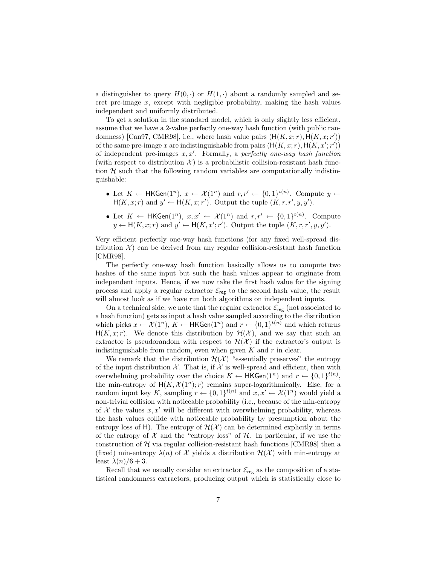a distinguisher to query  $H(0, \cdot)$  or  $H(1, \cdot)$  about a randomly sampled and secret pre-image  $x$ , except with negligible probability, making the hash values independent and uniformly distributed.

To get a solution in the standard model, which is only slightly less efficient, assume that we have a 2-value perfectly one-way hash function (with public randomness) [Can97, CMR98], i.e., where hash value pairs  $(H(K, x; r), H(K, x; r'))$ of the same pre-image x are indistinguishable from pairs  $(H(K, x; r), H(K, x'; r'))$ of independent pre-images  $x, x'$ . Formally, a perfectly one-way hash function (with respect to distribution  $\mathcal{X}$ ) is a probabilistic collision-resistant hash function  $H$  such that the following random variables are computationally indistinguishable:

- Let  $K \leftarrow \mathsf{HKGen}(1^n), x \leftarrow \mathcal{X}(1^n)$  and  $r, r' \leftarrow \{0, 1\}^{t(n)}$ . Compute  $y \leftarrow$  $H(K, x; r)$  and  $y' \leftarrow H(K, x; r')$ . Output the tuple  $(K, r, r', y, y')$ .
- Let  $K \leftarrow \mathsf{HKGen}(1^n), x, x' \leftarrow \mathcal{X}(1^n)$  and  $r, r' \leftarrow \{0, 1\}^{t(n)}$ . Compute  $y \leftarrow \mathsf{H}(K, x; r)$  and  $y' \leftarrow \mathsf{H}(K, x'; r')$ . Output the tuple  $(K, r, r', y, y')$ .

Very efficient perfectly one-way hash functions (for any fixed well-spread distribution  $\mathcal{X}$  can be derived from any regular collision-resistant hash function [CMR98].

The perfectly one-way hash function basically allows us to compute two hashes of the same input but such the hash values appear to originate from independent inputs. Hence, if we now take the first hash value for the signing process and apply a regular extractor  $\mathcal{E}_{reg}$  to the second hash value, the result will almost look as if we have run both algorithms on independent inputs.

On a technical side, we note that the regular extractor  $\mathcal{E}_{reg}$  (not associated to a hash function) gets as input a hash value sampled according to the distribution which picks  $x \leftarrow \mathcal{X}(1^n)$ ,  $K \leftarrow \text{HKGen}(1^n)$  and  $r \leftarrow \{0,1\}^{t(n)}$  and which returns  $H(K, x; r)$ . We denote this distribution by  $H(X)$ , and we say that such an extractor is pseudorandom with respect to  $\mathcal{H}(\mathcal{X})$  if the extractor's output is indistinguishable from random, even when given  $K$  and  $r$  in clear.

We remark that the distribution  $\mathcal{H}(\mathcal{X})$  "essentially preserves" the entropy of the input distribution X. That is, if X is well-spread and efficient, then with overwhelming probability over the choice  $K \leftarrow \mathsf{HKGen}(1^n)$  and  $r \leftarrow \{0,1\}^{t(n)}$ , the min-entropy of  $H(K, \mathcal{X}(1^n); r)$  remains super-logarithmically. Else, for a random input key K, sampling  $r \leftarrow \{0,1\}^{t(n)}$  and  $x, x' \leftarrow \mathcal{X}(1^n)$  would yield a non-trivial collision with noticeable probability (i.e., because of the min-entropy of  $X$  the values  $x, x'$  will be different with overwhelming probability, whereas the hash values collide with noticeable probability by presumption about the entropy loss of H). The entropy of  $\mathcal{H}(\mathcal{X})$  can be determined explicitly in terms of the entropy of  $\mathcal X$  and the "entropy loss" of  $\mathcal H$ . In particular, if we use the construction of  $H$  via regular collision-resistant hash functions [CMR98] then a (fixed) min-entropy  $\lambda(n)$  of X yields a distribution  $\mathcal{H}(\mathcal{X})$  with min-entropy at least  $\lambda(n)/6+3$ .

Recall that we usually consider an extractor  $\mathcal{E}_{reg}$  as the composition of a statistical randomness extractors, producing output which is statistically close to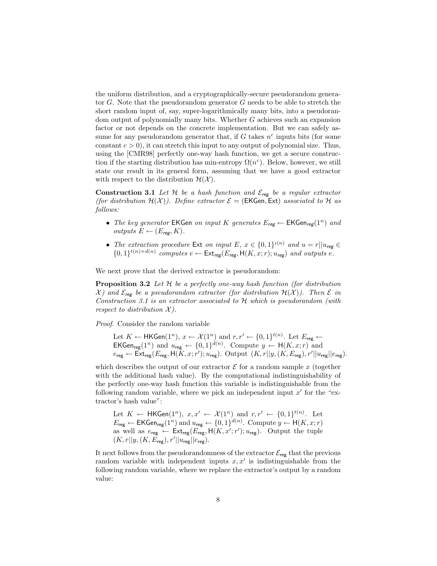the uniform distribution, and a cryptographically-secure pseudorandom generator G. Note that the pseudorandom generator G needs to be able to stretch the short random input of, say, super-logarithmically many bits, into a pseudorandom output of polynomially many bits. Whether G achieves such an expansion factor or not depends on the concrete implementation. But we can safely assume for any pseudorandom generator that, if  $G$  takes  $n^c$  inputs bits (for some constant  $c > 0$ , it can stretch this input to any output of polynomial size. Thus, using the [CMR98] perfectly one-way hash function, we get a secure construction if the starting distribution has min-entropy  $\Omega(n^c)$ . Below, however, we still state our result in its general form, assuming that we have a good extractor with respect to the distribution  $\mathcal{H}(\mathcal{X})$ .

**Construction 3.1** Let  $H$  be a hash function and  $\mathcal{E}_{reg}$  be a regular extractor (for distribution  $\mathcal{H}(\mathcal{X})$ ). Define extractor  $\mathcal{E} = (EKGen, Ext)$  associated to  $\mathcal{H}$  as follows:

- The key generator EKGen on input K generates  $E_{reg} \leftarrow \text{EKGen}_{reg}(1^n)$  and *outputs*  $E \leftarrow (E_{reg}, K)$ .
- The extraction procedure Ext on input E,  $x \in \{0,1\}^{i(n)}$  and  $u = r||u_{reg} \in$  $\{0,1\}^{t(n)+d(n)}$  computes  $e \leftarrow \textsf{Ext}_{\textsf{reg}}(E_{\textsf{reg}}, \textsf{H}(K, x; r); u_{\textsf{reg}})$  and outputs e.

We next prove that the derived extractor is pseudorandom:

**Proposition 3.2** Let  $H$  be a perfectly one-way hash function (for distribution  $\mathcal{X}$ ) and  $\mathcal{E}_{reg}$  be a pseudorandom extractor (for distribution  $\mathcal{H}(\mathcal{X})$ ). Then  $\mathcal E$  in Construction 3.1 is an extractor associated to  $H$  which is pseudorandom (with respect to distribution  $\mathcal{X}$ ).

Proof. Consider the random variable

Let 
$$
K \leftarrow \mathsf{HKGen}(1^n), x \leftarrow \mathcal{X}(1^n)
$$
 and  $r, r' \leftarrow \{0, 1\}^{t(n)}$ . Let  $E_{\text{reg}} \leftarrow \mathsf{EKGen}_{\text{reg}}(1^n)$  and  $u_{\text{reg}} \leftarrow \{0, 1\}^{d(n)}$ . Compute  $y \leftarrow \mathsf{H}(K, x; r)$  and  $e_{\text{reg}} \leftarrow \mathsf{Ext}_{\text{reg}}(E_{\text{reg}}, \mathsf{H}(K, x; r'); u_{\text{reg}})$ . Output  $(K, r||y, (K, E_{\text{reg}}), r'||u_{\text{reg}}||e_{\text{reg}})$ .

 $\mathcal{L}$ 

which describes the output of our extractor  $\mathcal E$  for a random sample x (together with the additional hash value). By the computational indistinguishability of the perfectly one-way hash function this variable is indistinguishable from the following random variable, where we pick an independent input  $x'$  for the "extractor's hash value":

Let  $K \leftarrow \mathsf{HKGen}(1^n), x, x' \leftarrow \mathcal{X}(1^n)$  and  $r, r' \leftarrow \{0, 1\}^{t(n)}$ . Let  $E_{\text{reg}} \leftarrow \textsf{EKGen}_{\text{reg}}(1^n)$  and  $u_{\text{reg}} \leftarrow \{0,1\}^{d(n)}$ . Compute  $y \leftarrow \textsf{H}(K, x; r)$ as well as  $e_{reg} \leftarrow \text{Ext}_{reg}(E_{reg}, \text{H}(K, x'; r'); u_{reg})$ . Output the tuple  $(K, r||y, (K, E_{\text{reg}}), r'||u_{\text{reg}}||e_{\text{reg}}).$ 

It next follows from the pseudorandomness of the extractor  $\mathcal{E}_{reg}$  that the previous random variable with independent inputs  $x, x'$  is indistinguishable from the following random variable, where we replace the extractor's output by a random value: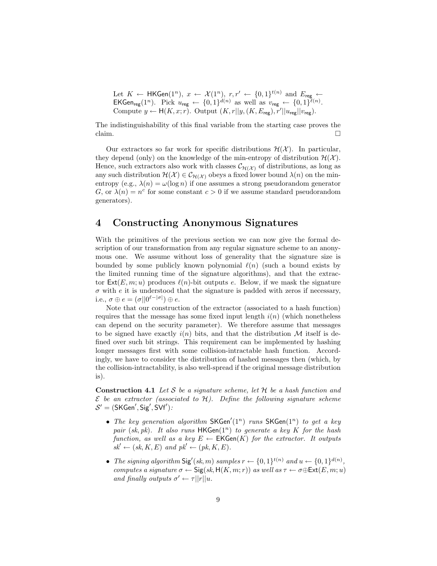Let  $K \leftarrow \mathsf{HKGen}(1^n), x \leftarrow \mathcal{X}(1^n), r, r' \leftarrow \{0, 1\}^{t(n)}$  and  $E_{\mathsf{reg}} \leftarrow$ **EKGen**<sub>reg</sub>(1<sup>n</sup>). Pick  $u_{reg} \leftarrow \{0, 1\}^{d(n)}$  as well as  $v_{reg} \leftarrow \{0, 1\}^{\ell(n)}$ . Compute  $y \leftarrow \mathsf{H}(K, x; r)$ . Output  $(K, r||y, (K, E_{\text{reg}}), r'||u_{\text{reg}}||v_{\text{reg}})$ .

The indistinguishability of this final variable from the starting case proves the claim.  $\Box$ 

Our extractors so far work for specific distributions  $\mathcal{H}(\mathcal{X})$ . In particular, they depend (only) on the knowledge of the min-entropy of distribution  $\mathcal{H}(\mathcal{X})$ . Hence, such extractors also work with classes  $\mathcal{C}_{H(\mathcal{X})}$  of distributions, as long as any such distribution  $\mathcal{H}(\mathcal{X}) \in \mathcal{C}_{\mathcal{H}(\mathcal{X})}$  obeys a fixed lower bound  $\lambda(n)$  on the minentropy (e.g.,  $\lambda(n) = \omega(\log n)$  if one assumes a strong pseudorandom generator G, or  $\lambda(n) = n^c$  for some constant  $c > 0$  if we assume standard pseudorandom generators).

### 4 Constructing Anonymous Signatures

With the primitives of the previous section we can now give the formal description of our transformation from any regular signature scheme to an anonymous one. We assume without loss of generality that the signature size is bounded by some publicly known polynomial  $\ell(n)$  (such a bound exists by the limited running time of the signature algorithms), and that the extractor  $\textsf{Ext}(E, m; u)$  produces  $\ell(n)$ -bit outputs e. Below, if we mask the signature  $\sigma$  with  $e$  it is understood that the signature is padded with zeros if necessary, i.e.,  $\sigma \oplus e = (\sigma || 0^{\ell - |\sigma|}) \oplus e$ .

Note that our construction of the extractor (associated to a hash function) requires that the message has some fixed input length  $i(n)$  (which nonetheless can depend on the security parameter). We therefore assume that messages to be signed have exactly  $i(n)$  bits, and that the distribution M itself is defined over such bit strings. This requirement can be implemented by hashing longer messages first with some collision-intractable hash function. Accordingly, we have to consider the distribution of hashed messages then (which, by the collision-intractability, is also well-spread if the original message distribution is).

**Construction 4.1** Let S be a signature scheme, let  $H$  be a hash function and  $\mathcal E$  be an extractor (associated to  $\mathcal H$ ). Define the following signature scheme  $\mathcal{S}' = (\mathsf{SKGen}', \mathsf{Sig}', \mathsf{SVf}')$  :

- The key generation algorithm  $SKGen'(1^n)$  runs  $SKGen(1^n)$  to get a key pair (sk, pk). It also runs  $HKGen(1^n)$  to generate a key K for the hash function, as well as a key  $E \leftarrow \mathsf{EKGen}(K)$  for the extractor. It outputs  $sk' \leftarrow (sk, K, E)$  and  $pk' \leftarrow (pk, K, E)$ .
- The signing algorithm  $\textsf{Sig}'(sk, m)$  samples  $r \leftarrow \{0, 1\}^{t(n)}$  and  $u \leftarrow \{0, 1\}^{d(n)}$ , computes a signature  $\sigma \leftarrow \mathsf{Sig}(sk, \mathsf{H}(K,m;r))$  as well as  $\tau \leftarrow \sigma \oplus \mathsf{Ext}(E,m;u)$ and finally outputs  $\sigma' \leftarrow \tau ||r|| u$ .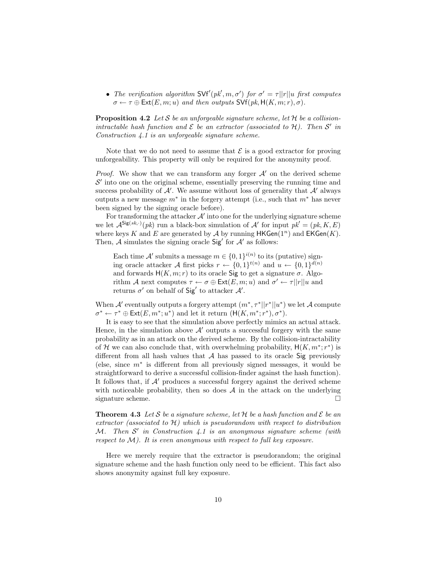• The verification algorithm SVf'(pk', m,  $\sigma'$ ) for  $\sigma' = \tau ||r|| u$  first computes  $\sigma \leftarrow \tau \oplus \textsf{Ext}(E, m; u)$  and then outputs  $\textsf{SVf}(pk, \textsf{H}(K, m; r), \sigma)$ .

**Proposition 4.2** Let S be an unforgeable signature scheme, let  $H$  be a collisionintractable hash function and  $\mathcal E$  be an extractor (associated to  $\mathcal H$ ). Then  $\mathcal S'$  in Construction 4.1 is an unforgeable signature scheme.

Note that we do not need to assume that  $\mathcal E$  is a good extractor for proving unforgeability. This property will only be required for the anonymity proof.

*Proof.* We show that we can transform any forger  $A'$  on the derived scheme  $\mathcal{S}'$  into one on the original scheme, essentially preserving the running time and success probability of  $A'$ . We assume without loss of generality that  $A'$  always outputs a new message  $m^*$  in the forgery attempt (i.e., such that  $m^*$  has never been signed by the signing oracle before).

For transforming the attacker  $A'$  into one for the underlying signature scheme we let  $\mathcal{A}^{\mathsf{Sig}(sk,\cdot)}(pk)$  run a black-box simulation of  $\mathcal{A}'$  for input  $pk' = (pk, K, E)$ where keys K and E are generated by A by running  $HKGen(1^n)$  and  $EKGen(K)$ . Then,  $A$  simulates the signing oracle  $Sig'$  for  $A'$  as follows:

Each time A' submits a message  $m \in \{0,1\}^{i(n)}$  to its (putative) signing oracle attacker A first picks  $r \leftarrow \{0,1\}^{t(n)}$  and  $u \leftarrow \{0,1\}^{d(n)}$ and forwards  $H(K, m; r)$  to its oracle Sig to get a signature  $\sigma$ . Algorithm A next computes  $\tau \leftarrow \sigma \oplus \text{Ext}(E, m; u)$  and  $\sigma' \leftarrow \tau ||r|| u$  and returns  $\sigma'$  on behalf of Sig' to attacker  $\mathcal{A}'$ .

When A' eventually outputs a forgery attempt  $(m^*, \tau^* || r^* || u^*)$  we let A compute  $\sigma^* \leftarrow \tau^* \oplus \text{Ext}(E, m^*; u^*)$  and let it return  $(\mathsf{H}(K, m^*; r^*), \sigma^*).$ 

It is easy to see that the simulation above perfectly mimics an actual attack. Hence, in the simulation above  $A'$  outputs a successful forgery with the same probability as in an attack on the derived scheme. By the collision-intractability of H we can also conclude that, with overwhelming probability,  $H(K, m^*; r^*)$  is different from all hash values that  $A$  has passed to its oracle Sig previously (else, since m<sup>∗</sup> is different from all previously signed messages, it would be straightforward to derive a successful collision-finder against the hash function). It follows that, if  $A'$  produces a successful forgery against the derived scheme with noticeable probability, then so does  $A$  in the attack on the underlying signature scheme.  $\Box$ 

**Theorem 4.3** Let S be a signature scheme, let H be a hash function and  $\mathcal{E}$  be an extractor (associated to  $\mathcal{H}$ ) which is pseudorandom with respect to distribution M. Then  $S'$  in Construction 4.1 is an anonymous signature scheme (with respect to  $M$ ). It is even anonymous with respect to full key exposure.

Here we merely require that the extractor is pseudorandom; the original signature scheme and the hash function only need to be efficient. This fact also shows anonymity against full key exposure.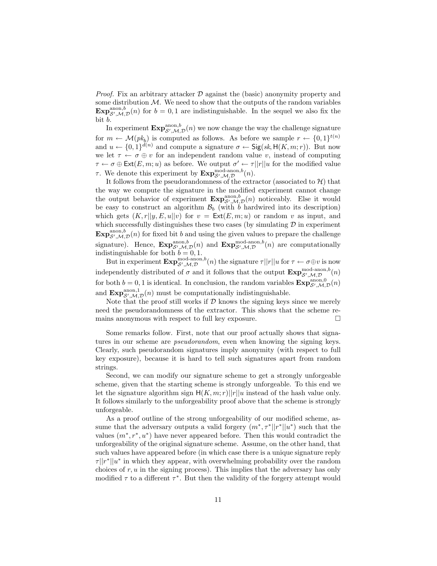*Proof.* Fix an arbitrary attacker  $\mathcal D$  against the (basic) anonymity property and some distribution  $M$ . We need to show that the outputs of the random variables  $\mathbf{Exp}_{\mathcal{S}',\mathcal{M},\mathcal{D}}^{\text{anon},b}(n)$  for  $b=0,1$  are indistinguishable. In the sequel we also fix the bit b.

In experiment  $\text{Exp}_{\mathcal{S}',\mathcal{M},\mathcal{D}}^{\text{anon},b}(n)$  we now change the way the challenge signature for  $m \leftarrow \mathcal{M}(pk_b)$  is computed as follows. As before we sample  $r \leftarrow \{0, 1\}^{t(n)}$ and  $u \leftarrow \{0,1\}^{d(n)}$  and compute a signature  $\sigma \leftarrow \mathsf{Sig}(sk, \mathsf{H}(K,m;r))$ . But now we let  $\tau \leftarrow \sigma \oplus v$  for an independent random value v, instead of computing  $\tau \leftarrow \sigma \oplus \text{Ext}(E, m; u)$  as before. We output  $\sigma' \leftarrow \tau ||r|| u$  for the modified value τ. We denote this experiment by  $\mathbf{Exp}_{\mathcal{S}',\mathcal{M},\mathcal{D}}^{\text{mod-anon},b}(n)$ .

It follows from the pseudorandomness of the extractor (associated to  $\mathcal{H}$ ) that the way we compute the signature in the modified experiment cannot change the output behavior of experiment  $\mathbf{Exp}_{\mathcal{S}',\mathcal{M},\mathcal{D}}^{\text{anon},b}(n)$  noticeably. Else it would be easy to construct an algorithm  $\mathcal{B}_b$  (with b hardwired into its description) which gets  $(K, r||y, E, u||v)$  for  $v = \text{Ext}(E, m; u)$  or random v as input, and which successfully distinguishes these two cases (by simulating  $D$  in experiment  $\text{Exp}_{\mathcal{S}',\mathcal{M},\mathcal{D}}^{anon,b}(n)$  for fixed bit b and using the given values to prepare the challenge signature). Hence,  $\text{Exp}_{\mathcal{S}',\mathcal{M},\mathcal{D}}^{\text{anon},b}(n)$  and  $\text{Exp}_{\mathcal{S}',\mathcal{M},\mathcal{D}}^{\text{mod-anon},b}(n)$  are computationally indistinguishable for both  $b = 0, 1$ .

But in experiment  $\mathrm{Exp}_{\mathcal{S}',\mathcal{M},\mathcal{D}}^{\mathrm{mod}\text{-}\mathrm{anon},b}(n)$  the signature  $\tau||r||u$  for  $\tau \leftarrow \sigma \oplus v$  is now independently distributed of  $\sigma$  and it follows that the output  $\text{Exp}_{\mathcal{S}',\mathcal{M},\mathcal{D}}^{\text{mod-anon},b}(n)$ for both  $b = 0, 1$  is identical. In conclusion, the random variables  $\mathbf{Exp}_{\mathcal{S}',\mathcal{M},\mathcal{D}}^{\text{anon},0}(n)$ and  $\text{Exp}_{\mathcal{S}',\mathcal{M},\mathcal{D}}^{\text{anon},1}(n)$  must be computationally indistinguishable.

Note that the proof still works if  $\mathcal D$  knows the signing keys since we merely need the pseudorandomness of the extractor. This shows that the scheme remains anonymous with respect to full key exposure.  $\Box$ 

Some remarks follow. First, note that our proof actually shows that signatures in our scheme are pseudorandom, even when knowing the signing keys. Clearly, such pseudorandom signatures imply anonymity (with respect to full key exposure), because it is hard to tell such signatures apart from random strings.

Second, we can modify our signature scheme to get a strongly unforgeable scheme, given that the starting scheme is strongly unforgeable. To this end we let the signature algorithm sign  $H(K, m; r) ||r|| u$  instead of the hash value only. It follows similarly to the unforgeability proof above that the scheme is strongly unforgeable.

As a proof outline of the strong unforgeability of our modified scheme, assume that the adversary outputs a valid forgery  $(m^*, \tau^* || r^* || u^*)$  such that the values  $(m^*, r^*, u^*)$  have never appeared before. Then this would contradict the unforgeability of the original signature scheme. Assume, on the other hand, that such values have appeared before (in which case there is a unique signature reply  $\tau ||r^*||u^*$  in which they appear, with overwhelming probability over the random choices of  $r, u$  in the signing process). This implies that the adversary has only modified  $\tau$  to a different  $\tau^*$ . But then the validity of the forgery attempt would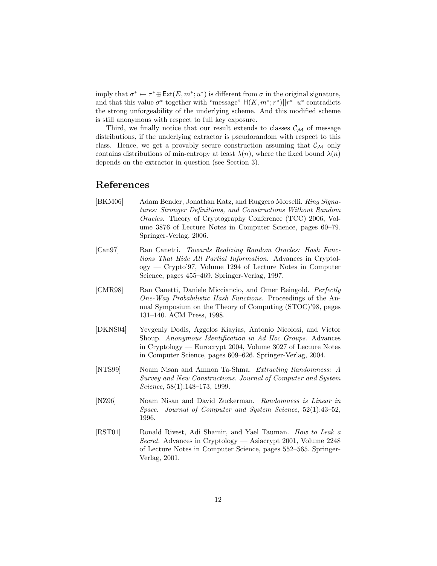imply that  $\sigma^* \leftarrow \tau^* \oplus \text{Ext}(E, m^*; u^*)$  is different from  $\sigma$  in the original signature, and that this value  $\sigma^*$  together with "message"  $H(K, m^*; r^*)||r^*||u^*$  contradicts the strong unforgeability of the underlying scheme. And this modified scheme is still anonymous with respect to full key exposure.

Third, we finally notice that our result extends to classes  $\mathcal{C}_M$  of message distributions, if the underlying extractor is pseudorandom with respect to this class. Hence, we get a provably secure construction assuming that  $\mathcal{C}_{\mathcal{M}}$  only contains distributions of min-entropy at least  $\lambda(n)$ , where the fixed bound  $\lambda(n)$ depends on the extractor in question (see Section 3).

#### References

- [BKM06] Adam Bender, Jonathan Katz, and Ruggero Morselli. Ring Signatures: Stronger Definitions, and Constructions Without Random Oracles. Theory of Cryptography Conference (TCC) 2006, Volume 3876 of Lecture Notes in Computer Science, pages 60–79. Springer-Verlag, 2006.
- [Can97] Ran Canetti. Towards Realizing Random Oracles: Hash Functions That Hide All Partial Information. Advances in Cryptology — Crypto'97, Volume 1294 of Lecture Notes in Computer Science, pages 455–469. Springer-Verlag, 1997.
- [CMR98] Ran Canetti, Daniele Micciancio, and Omer Reingold. Perfectly One-Way Probabilistic Hash Functions. Proceedings of the Annual Symposium on the Theory of Computing (STOC)'98, pages 131–140. ACM Press, 1998.
- [DKNS04] Yevgeniy Dodis, Aggelos Kiayias, Antonio Nicolosi, and Victor Shoup. Anonymous Identification in Ad Hoc Groups. Advances in Cryptology — Eurocrypt 2004, Volume 3027 of Lecture Notes in Computer Science, pages 609–626. Springer-Verlag, 2004.
- [NTS99] Noam Nisan and Amnon Ta-Shma. Extracting Randomness: A Survey and New Constructions. Journal of Computer and System Science, 58(1):148–173, 1999.
- [NZ96] Noam Nisan and David Zuckerman. Randomness is Linear in Space. Journal of Computer and System Science, 52(1):43–52, 1996.
- [RST01] Ronald Rivest, Adi Shamir, and Yael Tauman. How to Leak a Secret. Advances in Cryptology — Asiacrypt 2001, Volume 2248 of Lecture Notes in Computer Science, pages 552–565. Springer-Verlag, 2001.